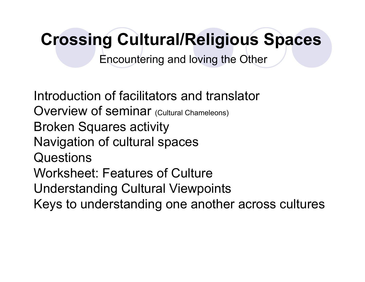Encountering and loving the Other

Introduction of facilitators and translator Overview of seminar (Cultural Chameleons) Broken Squares activity Navigation of cultural spaces Questions Worksheet: Features of Culture Understanding Cultural Viewpoints Keys to understanding one another across cultures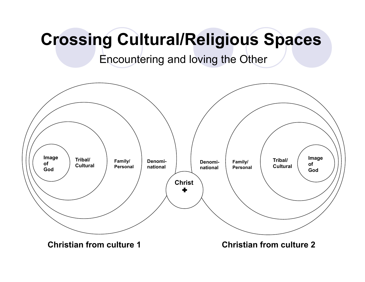Encountering and loving the Other

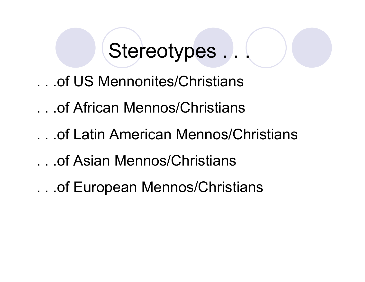# Stereotypes ...

- . . .of US Mennonites/Christians
- . . .of African Mennos/Christians
- . . .of Latin American Mennos/Christians
- . . .of Asian Mennos/Christians
- . . .of European Mennos/Christians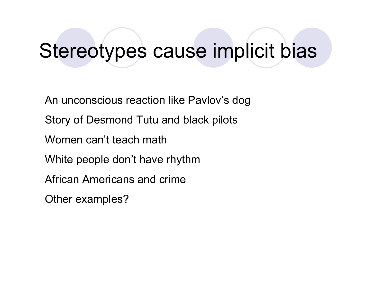### Stereotypes cause implicit bias

An unconscious reaction like Pavlov's dog Story of Desmond Tutu and black pilots Women can't teach math White people don't have rhythm African Americans and crime Other examples?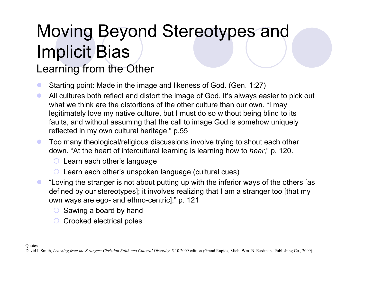# Moving Beyond Stereotypes and Implicit Bias

### Learning from the Other

- ! Starting point: Made in the image and likeness of God. (Gen. 1:27)
- ! All cultures both reflect and distort the image of God. It's always easier to pick out what we think are the distortions of the other culture than our own. "I may legitimately love my native culture, but I must do so without being blind to its faults, and without assuming that the call to image God is somehow uniquely reflected in my own cultural heritage." p.55
- **Too many theological/religious discussions involve trying to shout each other** down. "At the heart of intercultural learning is learning how to *hear*," p. 120.
	- $\circ$  Learn each other's language
	- $\circ$  Learn each other's unspoken language (cultural cues)
- "Loving the stranger is not about putting up with the inferior ways of the others [as defined by our stereotypes]; it involves realizing that I am a stranger too [that my own ways are ego- and ethno-centric]." p. 121
	- $\circ$  Sawing a board by hand
	- $\circ$  Crooked electrical poles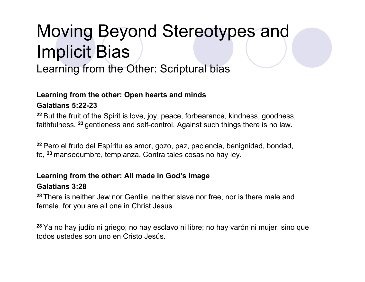### Moving Beyond Stereotypes and Implicit Bias

Learning from the Other: Scriptural bias

#### **Learning from the other: Open hearts and minds**

#### **Galatians 5:22-23**

**<sup>22</sup>**But the fruit of the Spirit is love, joy, peace, forbearance, kindness, goodness, faithfulness, **<sup>23</sup>**gentleness and self-control. Against such things there is no law.

**<sup>22</sup>**Pero el fruto del Espíritu es amor, gozo, paz, paciencia, benignidad, bondad, fe, **<sup>23</sup>**mansedumbre, templanza. Contra tales cosas no hay ley.

#### **Learning from the other: All made in God's Image Galatians 3:28**

**<sup>28</sup>**There is neither Jew nor Gentile, neither slave nor free, nor is there male and female, for you are all one in Christ Jesus.

**<sup>28</sup>**Ya no hay judío ni griego; no hay esclavo ni libre; no hay varón ni mujer, sino que todos ustedes son uno en Cristo Jesús.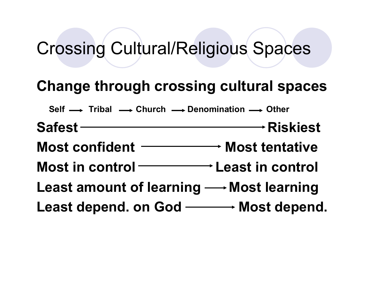### **Change through crossing cultural spaces**

Self  $\longrightarrow$  Tribal  $\longrightarrow$  Church  $\longrightarrow$  Denomination  $\longrightarrow$  Other

**Safest Riskiest** 

**Most confident Most tentative** 

**Most in control Least in control** 

Least amount of learning  $\longrightarrow$  Most learning

**Least depend. on God Most depend.**